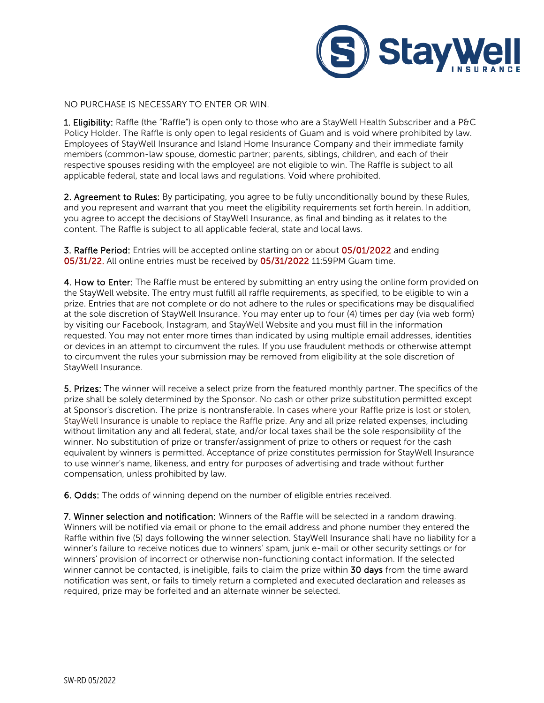

NO PURCHASE IS NECESSARY TO ENTER OR WIN.

1. Eligibility: Raffle (the "Raffle") is open only to those who are a StayWell Health Subscriber and a P&C Policy Holder. The Raffle is only open to legal residents of Guam and is void where prohibited by law. Employees of StayWell Insurance and Island Home Insurance Company and their immediate family members (common-law spouse, domestic partner; parents, siblings, children, and each of their respective spouses residing with the employee) are not eligible to win. The Raffle is subject to all applicable federal, state and local laws and regulations. Void where prohibited.

2. Agreement to Rules: By participating, you agree to be fully unconditionally bound by these Rules, and you represent and warrant that you meet the eligibility requirements set forth herein. In addition, you agree to accept the decisions of StayWell Insurance, as final and binding as it relates to the content. The Raffle is subject to all applicable federal, state and local laws.

3. Raffle Period: Entries will be accepted online starting on or about 05/01/2022 and ending 05/31/22. All online entries must be received by 05/31/2022 11:59PM Guam time.

4. How to Enter: The Raffle must be entered by submitting an entry using the online form provided on the StayWell website. The entry must fulfill all raffle requirements, as specified, to be eligible to win a prize. Entries that are not complete or do not adhere to the rules or specifications may be disqualified at the sole discretion of StayWell Insurance. You may enter up to four (4) times per day (via web form) by visiting our Facebook, Instagram, and StayWell Website and you must fill in the information requested. You may not enter more times than indicated by using multiple email addresses, identities or devices in an attempt to circumvent the rules. If you use fraudulent methods or otherwise attempt to circumvent the rules your submission may be removed from eligibility at the sole discretion of StayWell Insurance.

5. Prizes: The winner will receive a select prize from the featured monthly partner. The specifics of the prize shall be solely determined by the Sponsor. No cash or other prize substitution permitted except at Sponsor's discretion. The prize is nontransferable. In cases where your Raffle prize is lost or stolen, StayWell Insurance is unable to replace the Raffle prize. Any and all prize related expenses, including without limitation any and all federal, state, and/or local taxes shall be the sole responsibility of the winner. No substitution of prize or transfer/assignment of prize to others or request for the cash equivalent by winners is permitted. Acceptance of prize constitutes permission for StayWell Insurance to use winner's name, likeness, and entry for purposes of advertising and trade without further compensation, unless prohibited by law.

6. Odds: The odds of winning depend on the number of eligible entries received.

7. Winner selection and notification: Winners of the Raffle will be selected in a random drawing. Winners will be notified via email or phone to the email address and phone number they entered the Raffle within five (5) days following the winner selection. StayWell Insurance shall have no liability for a winner's failure to receive notices due to winners' spam, junk e-mail or other security settings or for winners' provision of incorrect or otherwise non-functioning contact information. If the selected winner cannot be contacted, is ineligible, fails to claim the prize within 30 days from the time award notification was sent, or fails to timely return a completed and executed declaration and releases as required, prize may be forfeited and an alternate winner be selected.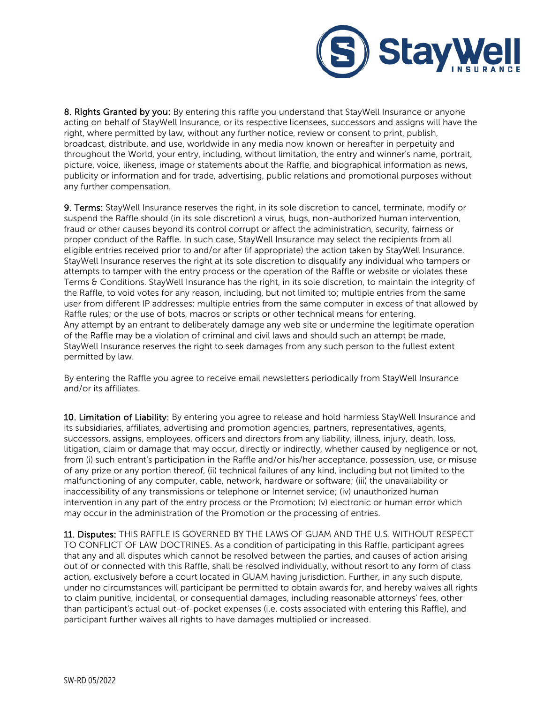

8. Rights Granted by you: By entering this raffle you understand that StayWell Insurance or anyone acting on behalf of StayWell Insurance, or its respective licensees, successors and assigns will have the right, where permitted by law, without any further notice, review or consent to print, publish, broadcast, distribute, and use, worldwide in any media now known or hereafter in perpetuity and throughout the World, your entry, including, without limitation, the entry and winner's name, portrait, picture, voice, likeness, image or statements about the Raffle, and biographical information as news, publicity or information and for trade, advertising, public relations and promotional purposes without any further compensation.

9. Terms: StayWell Insurance reserves the right, in its sole discretion to cancel, terminate, modify or suspend the Raffle should (in its sole discretion) a virus, bugs, non-authorized human intervention, fraud or other causes beyond its control corrupt or affect the administration, security, fairness or proper conduct of the Raffle. In such case, StayWell Insurance may select the recipients from all eligible entries received prior to and/or after (if appropriate) the action taken by StayWell Insurance. StayWell Insurance reserves the right at its sole discretion to disqualify any individual who tampers or attempts to tamper with the entry process or the operation of the Raffle or website or violates these Terms & Conditions. StayWell Insurance has the right, in its sole discretion, to maintain the integrity of the Raffle, to void votes for any reason, including, but not limited to; multiple entries from the same user from different IP addresses; multiple entries from the same computer in excess of that allowed by Raffle rules; or the use of bots, macros or scripts or other technical means for entering. Any attempt by an entrant to deliberately damage any web site or undermine the legitimate operation of the Raffle may be a violation of criminal and civil laws and should such an attempt be made, StayWell Insurance reserves the right to seek damages from any such person to the fullest extent permitted by law.

By entering the Raffle you agree to receive email newsletters periodically from StayWell Insurance and/or its affiliates.

10. Limitation of Liability: By entering you agree to release and hold harmless StayWell Insurance and its subsidiaries, affiliates, advertising and promotion agencies, partners, representatives, agents, successors, assigns, employees, officers and directors from any liability, illness, injury, death, loss, litigation, claim or damage that may occur, directly or indirectly, whether caused by negligence or not, from (i) such entrant's participation in the Raffle and/or his/her acceptance, possession, use, or misuse of any prize or any portion thereof, (ii) technical failures of any kind, including but not limited to the malfunctioning of any computer, cable, network, hardware or software; (iii) the unavailability or inaccessibility of any transmissions or telephone or Internet service; (iv) unauthorized human intervention in any part of the entry process or the Promotion; (v) electronic or human error which may occur in the administration of the Promotion or the processing of entries.

11. Disputes: THIS RAFFLE IS GOVERNED BY THE LAWS OF GUAM AND THE U.S. WITHOUT RESPECT TO CONFLICT OF LAW DOCTRINES. As a condition of participating in this Raffle, participant agrees that any and all disputes which cannot be resolved between the parties, and causes of action arising out of or connected with this Raffle, shall be resolved individually, without resort to any form of class action, exclusively before a court located in GUAM having jurisdiction. Further, in any such dispute, under no circumstances will participant be permitted to obtain awards for, and hereby waives all rights to claim punitive, incidental, or consequential damages, including reasonable attorneys' fees, other than participant's actual out-of-pocket expenses (i.e. costs associated with entering this Raffle), and participant further waives all rights to have damages multiplied or increased.